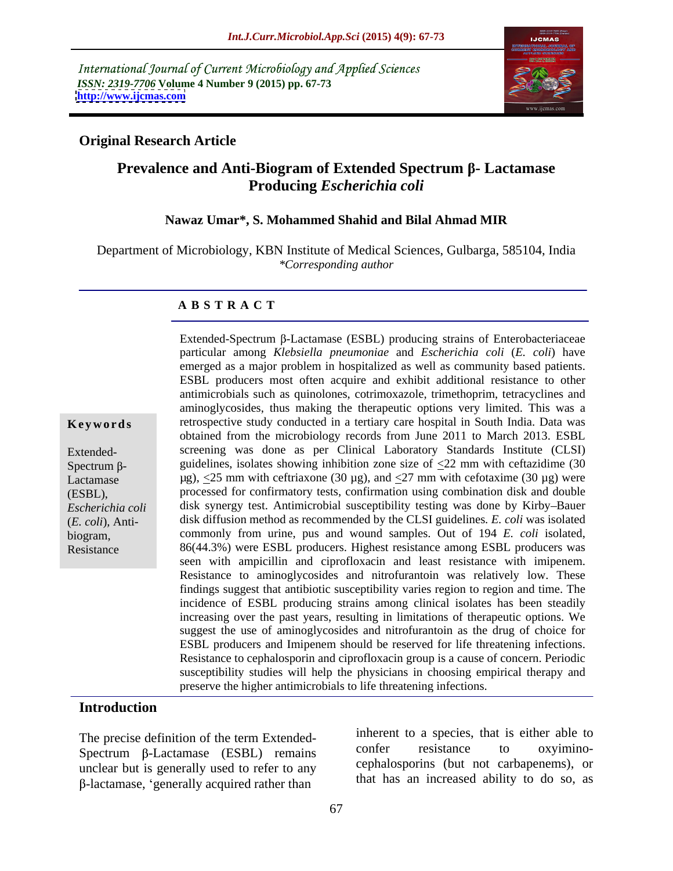International Journal of Current Microbiology and Applied Sciences *ISSN: 2319-7706* **Volume 4 Number 9 (2015) pp. 67-73 <http://www.ijcmas.com>**



#### **Original Research Article**

# **Prevalence and Anti-Biogram of Extended Spectrum β- Lactamase Producing** *Escherichia coli*

#### **Nawaz Umar\*, S. Mohammed Shahid and Bilal Ahmad MIR**

Department of Microbiology, KBN Institute of Medical Sciences, Gulbarga, 585104, India *\*Corresponding author*

#### **A B S T R A C T**

Resistance

particular among *Klebsiella pneumoniae* and *Escherichia coli* (*E. coli*) have emerged as a major problem in hospitalized as well as community based patients. ESBL producers most often acquire and exhibit additional resistance to other antimicrobials such as quinolones, cotrimoxazole, trimethoprim, tetracyclines and aminoglycosides, thus making the therapeutic options very limited. This was a **Keywords** retrospective study conducted in a tertiary care hospital in South India. Data was obtained from the microbiology records from June 2011 to March 2013. ESBL screening was done as per Clinical Laboratory Standards Institute (CLSI) Extended- Spectrum  $\beta$ - guidelines, isolates showing inhibition zone size of  $\leq$ 22 mm with ceftazidime (30 Lactamase  $\mu$ g),  $\leq$ 25 mm with ceftriaxone (30  $\mu$ g), and  $\leq$ 27 mm with cefotaxime (30  $\mu$ g) were processed for confirmatory tests, confirmation using combination disk and double (ESBL), Escherichia coli antisk synergy test. Antimicrobial susceptibility testing was done by Kirby-Bauer disk diffusion method as recommended by the CLSI guidelines*. E. coli* was isolated (*E. coli*)*,* Anti biogram, commonly from urine, pus and wound samples. Out of 194 *E. coli* isolated, 86(44.3%) were ESBL producers. Highest resistance among ESBL producers was seen with ampicillin and ciprofloxacin and least resistance with imipenem. Resistance to aminoglycosides and nitrofurantoin was relatively low. These findings suggest that antibiotic susceptibility varies region to region and time. The incidence of ESBL producing strains among clinical isolates has been steadily increasing over the past years, resulting in limitations of therapeutic options. We suggest the use of aminoglycosides and nitrofurantoin as the drug of choice for ESBL producers and Imipenem should be reserved for life threatening infections. Resistance to cephalosporin and ciprofloxacin group is a cause of concern. Periodic susceptibility studies will help the physicians in choosing empirical therapy and preserve the higher antimicrobials to life threatening infections.

Extended-Spectrum  $\beta$ -Lactamase (ESBL) producing strains of Enterobacteriaceae

#### **Introduction**

 $Spectrum$   $\beta$ -Lactamase (ESBL) remains unclear but is generally used to refer to any B-lactamase, 'generally acquired rather than

The precise definition of the term Extended-<br>
The precise definition of the term Extended-<br>  $\frac{1}{2}$ <br>  $\frac{1}{2}$ <br>  $\frac{1}{2}$ <br>  $\frac{1}{2}$ <br>  $\frac{1}{2}$ <br>  $\frac{1}{2}$ <br>  $\frac{1}{2}$ <br>  $\frac{1}{2}$ <br>  $\frac{1}{2}$ <br>  $\frac{1}{2}$ <br>  $\frac{1}{2}$ <br>  $\frac{1}{2}$ inherent to a species, that is either able to confer resistance to oxyimino cephalosporins (but not carbapenems), or that has an increased ability to do so, as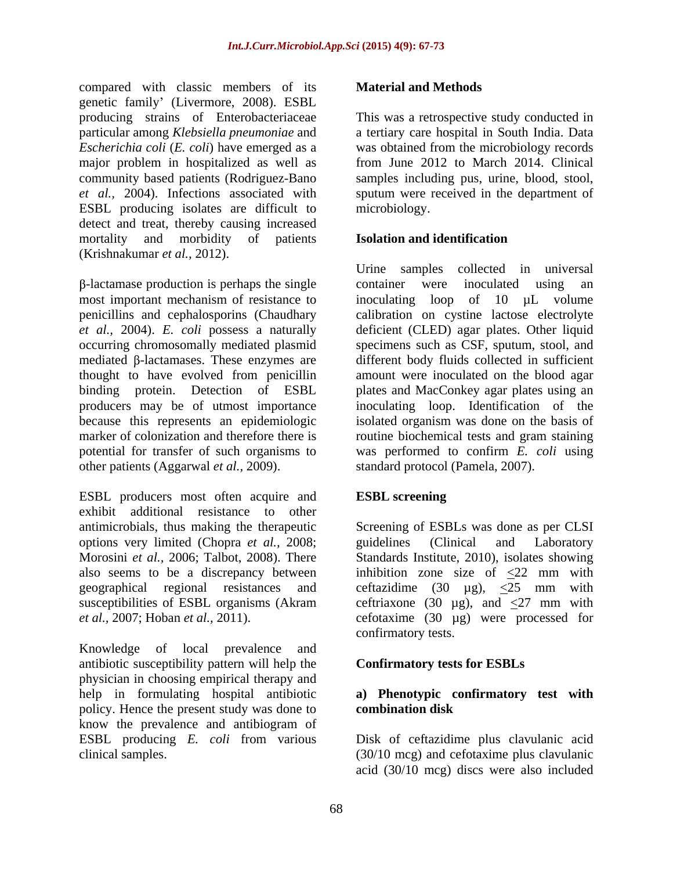compared with classic members of its **Material and Methods** genetic family' (Livermore, 2008). ESBL producing strains of Enterobacteriaceae This was a retrospective study conducted in particular among *Klebsiella pneumoniae* and a tertiary care hospital in South India. Data *Escherichia coli* (*E. coli*) have emerged as a major problem in hospitalized as well as community based patients (Rodriguez-Bano samples including pus, urine, blood, stool, *et al.,* 2004). Infections associated with sputum were received in the department of ESBL producing isolates are difficult to detect and treat, thereby causing increased mortality and morbidity of patients **Isolation and identification** (Krishnakumar *et al.,* 2012).

 $\beta$ -lactamase production is perhaps the single container were inoculated using an most important mechanism of resistance to inoculating loop of 10  $\mu$ L volume penicillins and cephalosporins (Chaudhary calibration on cystine lactose electrolyte *et al.,* 2004). *E. coli* possess a naturally deficient (CLED) agar plates. Other liquid occurring chromosomally mediated plasmid specimens such as CSF, sputum, stool, and mediated  $\beta$ -lactamases. These enzymes are thought to have evolved from penicillin binding protein. Detection of ESBL plates and MacConkey agar plates using an producers may be of utmost importance inoculating loop. Identification of the because this represents an epidemiologic isolated organism was done on the basis of marker of colonization and therefore there is coutine biochemical tests and gram staining potential for transfer of such organisms to was performed to confirm *E. coli* using other patients (Aggarwal *et al.,* 2009).

ESBL producers most often acquire and exhibit additional resistance to other options very limited (Chopra *et al.*, 2008; guidelines (Clinical and Laboratory Morosini *et al.*, 2006; Talbot, 2008). There Standards Institute, 2010), isolates showing

Knowledge of local prevalence and antibiotic susceptibility pattern will help the physician in choosing empirical therapy and help in formulating hospital antibiotic **a) Phenotypic confirmatory test with** policy. Hence the present study was done to combination disk know the prevalence and antibiogram of ESBL producing *E. coli* from various Disk of ceftazidime plus clavulanic acid

# **Material and Methods**

was obtained from the microbiology records from June 2012 to March 2014. Clinical microbiology.

# **Isolation and identification**

Urine samples collected in universal container were inoculated using an different body fluids collected in sufficient amount were inoculated on the blood agar standard protocol (Pamela, 2007).

# **ESBL screening**

antimicrobials, thus making the therapeutic Screening of ESBLs was done as per CLSI Morosini *et al.,* 2006; Talbot, 2008). There Standards Institute, 2010), isolates showing also seems to be a discrepancy between inhibition zone size of  $\leq 22$  mm with geographical regional resistances and ceftazidime  $(30 \mu g)$ ,  $\leq 25$  mm with susceptibilities of ESBL organisms (Akram ceftriaxone (30  $\mu$ g), and  $\leq$ 27 mm with *et al.,* 2007; Hoban *et al.,* 2011). cefotaxime (30 µg) were processed for guidelines (Clinical and Laboratory confirmatory tests.

# **Confirmatory tests for ESBLs**

# **combination disk**

clinical samples. (30/10 mcg) and cefotaxime plus clavulanic acid (30/10 mcg) discs were also included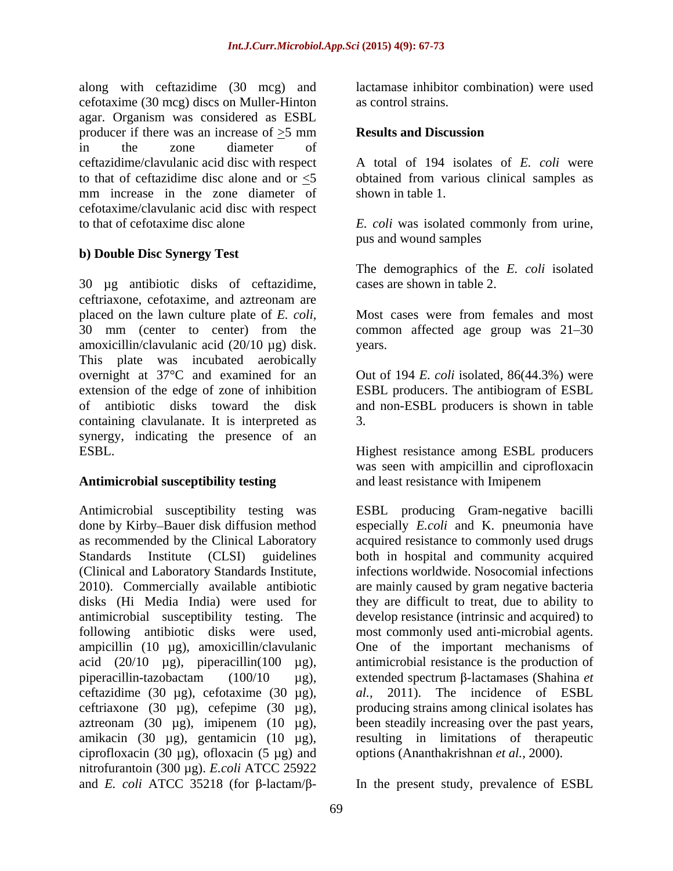along with ceftazidime (30 mcg) and cefotaxime (30 mcg) discs on Muller-Hinton agar. Organism was considered as ESBL producer if there was an increase of >5 mm in the zone diameter of ceftazidime/clavulanic acid disc with respect to that of ceftazidime disc alone and or <5 mm increase in the zone diameter of cefotaxime/clavulanic acid disc with respect

#### **b) Double Disc Synergy Test**

30 µg antibiotic disks of ceftazidime, ceftriaxone, cefotaxime, and aztreonam are placed on the lawn culture plate of *E. coli*, Most cases were from females and most 30 mm (center to center) from the common affected age group was 21–30 amoxicillin/clavulanic acid (20/10 µg) disk. vears. This plate was incubated aerobically overnight at 37°C and examined for an Out of 194 *E. coli* isolated, 86(44.3%) were extension of the edge of zone of inhibition ESBL producers. The antibiogram of ESBL of antibiotic disks toward the disk and non-ESBL producers is shown in table containing clavulanate. It is interpreted as  $\qquad \qquad$  3. synergy, indicating the presence of an ESBL. Highest resistance among ESBL producers

#### Antimicrobial susceptibility testing and least resistance with Imipenem

Antimicrobial susceptibility testing was ESBL producing Gram-negative bacilli done by Kirby–Bauer disk diffusion method especially *E.coli* and K. pneumonia have as recommended by the Clinical Laboratory acquired resistance to commonly used drugs Standards Institute (CLSI) guidelines both in hospital and community acquired (Clinical and Laboratory Standards Institute, 2010). Commercially available antibiotic disks (Hi Media India) were used for they are difficult to treat, due to ability to antimicrobial susceptibility testing. The develop resistance (intrinsic and acquired) to following antibiotic disks were used, most commonly used anti-microbial agents. ampicillin (10 µg), amoxicillin/clavulanic acid (20/10 µg), piperacillin(100 µg), antimicrobial resistance is the production of piperacillin-tazobactam (100/10 μg), extended spectrum β-lactamases (Shahina *et* ceftazidime (30 µg), cefotaxime (30 µg),  $al$ , ceftriaxone (30 µg), cefepime (30 µg), producing strains among clinical isolates has aztreonam (30  $\mu$ g), imipenem (10  $\mu$ g), amikacin (30 µg), gentamicin (10 µg), ciprofloxacin (30  $\mu$ g), ofloxacin (5  $\mu$ g) and nitrofurantoin (300 µg). *E.coli* ATCC 25922 and *E. coli* ATCC 35218 (for  $\beta$ -lactam/ $\beta$ - In the present study, prevalence of ESBL

lactamase inhibitor combination) were used as control strains.

#### **Results and Discussion**

A total of 194 isolates of *E. coli* were obtained from various clinical samples as shown in table 1.

to that of cefotaxime disc alone *E. coli* was isolated commonly from urine, pus and wound samples

> The demographics of the *E. coli* isolated cases are shown in table 2.

Most cases were from females and most common affected age group was  $21-30$ years.

3.

was seen with ampicillin and ciprofloxacin

and least resistance with Imipenem<br>ESBL producing Gram-negative bacilli infections worldwide. Nosocomial infections are mainly caused by gram negative bacteria One of the important mechanisms of 2011). The incidence of ESBL been steadily increasing over the past years, resulting in limitations of therapeutic options (Ananthakrishnan *et al.,* 2000).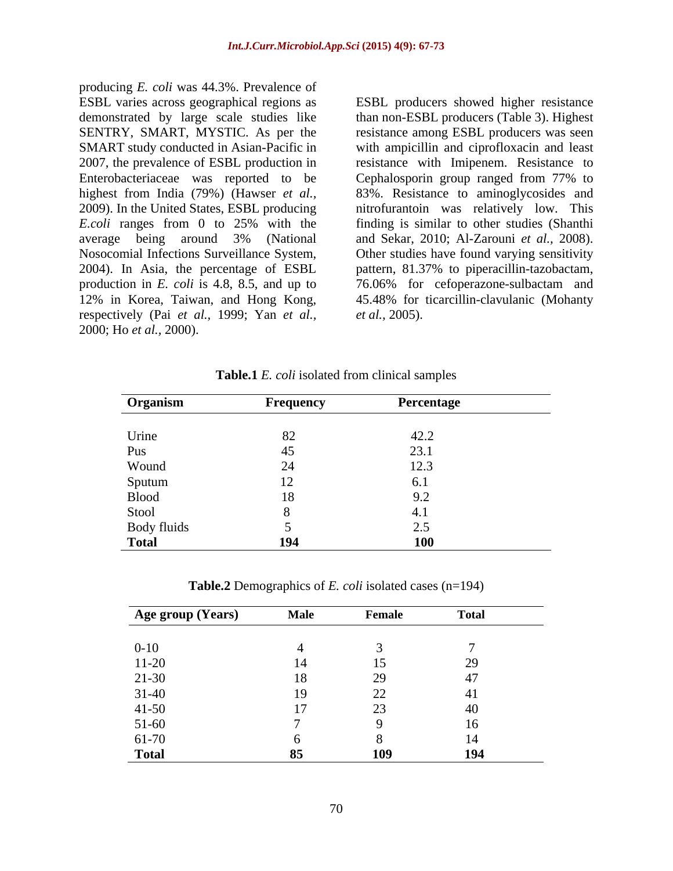producing *E. coli* was 44.3%. Prevalence of ESBL varies across geographical regions as ESBL producers showed higher resistance demonstrated by large scale studies like SENTRY, SMART, MYSTIC. As per the resistance among ESBL producers was seen SMART study conducted in Asian-Pacific in with ampicillin and ciprofloxacin and least 2007, the prevalence of ESBL production in resistance with Imipenem. Resistance to Enterobacteriaceae was reported to be Cephalosporin group ranged from 77% to highest from India (79%) (Hawser *et al.,* 83%. Resistance to aminoglycosides and 2009). In the United States, ESBL producing nitrofurantoin was relatively low. This *E.coli* ranges from 0 to 25% with the finding is similar to other studies (Shanthi average being around 3% (National and Sekar, 2010; Al-Zarouni et al., 2008). Nosocomial Infections Surveillance System, 2004). In Asia, the percentage of ESBL pattern, 81.37% to piperacillin-tazobactam, production in *E. coli* is 4.8, 8.5, and up to 76.06% for cefoperazone-sulbactam and 12% in Korea, Taiwan, and Hong Kong, 45.48% for ticarcillin-clavulanic (Mohanty respectively (Pai *et al.,* 1999; Yan *et al.,* ESBL varies across geographical regions as<br>
ESBL producers showed higher resistance<br>
SENTRY, SMART, MYSTIC. As per the resistance among ESBL producers (Table 3). Highest<br>
SMART study conducted in Asian-Pacific in<br>
2007, th

than non-ESBL producers (Table 3). Highest Cephalosporin group ranged from 77% to and Sekar, 2010; Al-Zarouni *et al.*, 2008).<br>Other studies have found varying sensitivity *et al.,* 2005).

**Table.1** *E. coli* isolated from clinical samples

| Organism        | Frequency | Percentage |
|-----------------|-----------|------------|
|                 |           |            |
| Urine           |           | 42.2       |
| Pus             | 45        | 23.1       |
| Wound           | ∠⊣        | 12.3       |
|                 |           |            |
| Sputum<br>Blood | 18        |            |
| Stool           |           | 4. J       |
| Body fluids     |           |            |
| <b>Total</b>    | 194       | <b>100</b> |

**Table.2** Demographics of *E. coli* isolated cases (n=194)

| Age group (Years)     | <b>Male</b> | Female                             | <b>Total</b> |
|-----------------------|-------------|------------------------------------|--------------|
|                       |             |                                    |              |
| $0 - 10$              |             |                                    |              |
|                       |             |                                    | 29<br>∼      |
| $\frac{11-20}{21-30}$ | 18          | 29<br>↩                            |              |
| $31-40$               | 19          | $\sim$<br>$\overline{\phantom{m}}$ |              |
|                       |             | $\cap$<br>∠.                       | 40           |
| $41-50$<br>$51-60$    |             |                                    | 16           |
| 61-70                 |             |                                    |              |
| <b>Total</b>          | 85          | 109                                | 194          |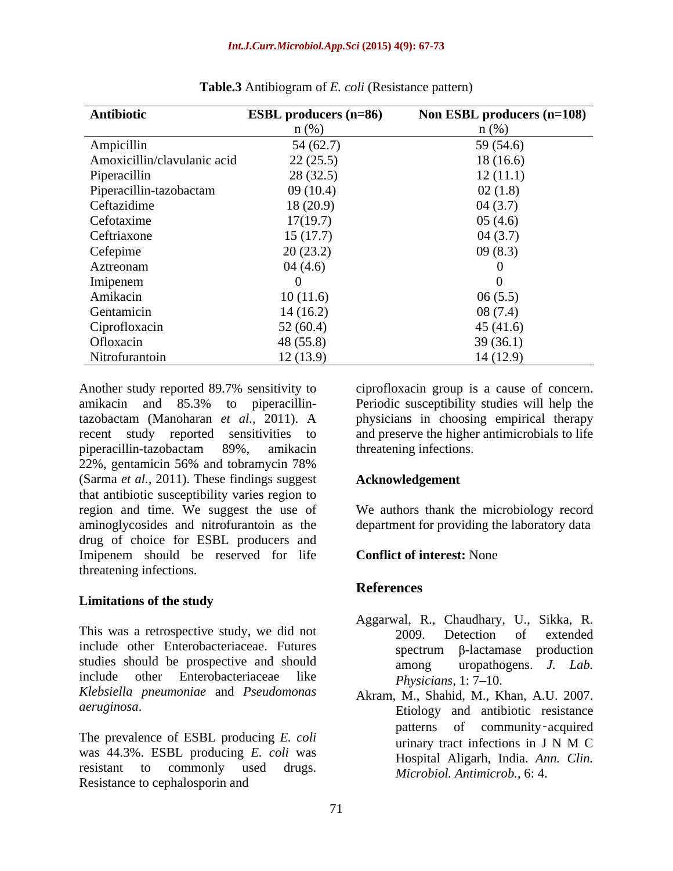| Antibiotic                  | <b>ESBL</b> producers (n=86) | Non ESBL producers (n=108) |
|-----------------------------|------------------------------|----------------------------|
|                             | $n$ (%)                      | $n$ (%)                    |
| Ampicillin                  | 54(62.7)                     | 59 (54.6)                  |
| Amoxicillin/clavulanic acid | 22(25.5)                     | 18(16.6)                   |
| Piperacillin                | 28(32.5)                     | 12(11.1)                   |
| Piperacillin-tazobactam     | 09(10.4)                     | 02(1.8)                    |
| Ceftazidime                 | 18(20.9)                     | 04(3.7)                    |
| Cefotaxime                  | 17(19.7)                     | 05(4.6)                    |
| Ceftriaxone                 | 15(17.7)                     | 04(3.7)                    |
| Cefepime                    | 20(23.2)                     | 09(8.3)                    |
| Aztreonam                   | 04(4.6)                      | 0                          |
| Imipenem                    |                              |                            |
| Amikacin                    | 10(11.6)                     | 06(5.5)                    |
| Gentamicin                  | 14(16.2)                     | 08(7.4)                    |
| Ciprofloxacin               | 52(60.4)                     | 45(41.6)                   |
| Ofloxacin                   | 48(55.8)                     | 39(36.1)                   |
| Nitrofurantoin              | 12(13.9)                     | 14(12.9)                   |

**Table.3** Antibiogram of *E. coli* (Resistance pattern)

Another study reported 89.7% sensitivity to ciprofloxacin group is a cause of concern. amikacin and 85.3% to piperacillin-Periodic susceptibility studies will help the tazobactam (Manoharan *et al.,* 2011). A recent study reported sensitivities to and preserve the higher antimicrobials to life piperacillin-tazobactam 89%, amikacin 22%, gentamicin 56% and tobramycin 78% (Sarma *et al.,* 2011). These findings suggest that antibiotic susceptibility varies region to region and time. We suggest the use of We authors thank the microbiology record aminoglycosides and nitrofurantoin as the drug of choice for ESBL producers and Imipenem should be reserved for life Conflict of interest: None threatening infections.

# **Limitations of the study**

This was a retrospective study, we did not  $\sim$  2009. Detection of extended include other Enterobacteriaceae. Futures spectrum B-lactamase production studies should be prospective and should among include other Enterobacteriaceae like  $Phvsicians$  1:  $7-10$ *Klebsiella pneumoniae* and *Pseudomonas* 

The prevalence of ESBL producing *E. coli*<br>urinary tract infections in J N M C was 44.3%. ESBL producing *E. coli* was resistant to commonly used drugs. Microbiol Antimicrob 6: A Resistance to cephalosporin and

ciprofloxacin group is a cause of concern. physicians in choosing empirical therapy threatening infections.

# **Acknowledgement**

department for providing the laboratory data

# **Conflict of interest:** None

# **References**

- Aggarwal, R., Chaudhary, U., Sikka, R. 2009. Detection of extended  $spectrum$   $\beta$ -lactamase production uropathogens. *J. Lab. Physicians,* 1: 7–10.
- *aeruginosa*. Etiology and antibiotic resistance Akram, M., Shahid, M., Khan, A.U. 2007. patterns of community acquired urinary tract infections in J N M C Hospital Aligarh, India. *Ann. Clin. Microbiol. Antimicrob.,* 6: 4.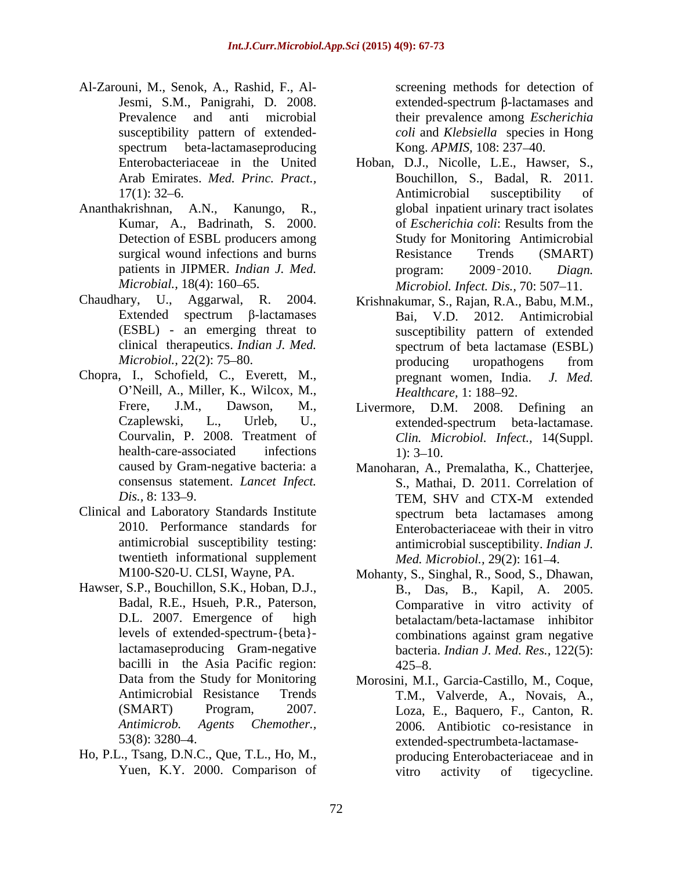- Al-Zarouni, M., Senok, A., Rashid, F., Al- Jesmi, S.M., Panigrahi, D. 2008. susceptibility pattern of extended spectrum beta-lactamaseproducing Kong. APMIS, 108: 237–40.
- Ananthakrishnan, A.N., Kanungo, R., Detection of ESBL producers among
- Chaudhary, U., Aggarwal, R. 2004. Krishnakumar, S., Rajan, R.A., Babu, M.M.,
- Chopra, I., Schofield, C., Everett, M., O'Neill, A., Miller, K., Wilcox, M., Healthcare, 1: 188-92.
- Clinical and Laboratory Standards Institute 2010. Performance standards for twentieth informational supplement
- Hawser, S.P., Bouchillon, S.K., Hoban, D.J., bacilli in the Asia Pacific region: 425-8.
- Ho, P.L., Tsang, D.N.C., Que, T.L., Ho, M.,

Prevalence and anti microbial their prevalence among *Escherichia*  screening methods for detection of  $extended-spectrum \beta-lactamases$  and *coli* and *Klebsiella* species in Hong Kong. *APMIS*, 108: 237–40.

- Enterobacteriaceae in the United Hoban, D.J., Nicolle, L.E., Hawser, S., Arab Emirates. *Med. Princ. Pract.*, Bouchillon, S., Badal, R. 2011. 17(1): 32–6. Antimicrobial susceptibility of Kumar, A., Badrinath, S. 2000. of *Escherichia coli:* Results from the surgical wound infections and burns Resistance Trends (SMART) patients in JIPMER. *Indian J. Med.* program: 2009-2010. *Diagn. Microbial.,* 18(4): 160–65. Microbiol. *Infect. Dis.,* 70: 507–11. Antimicrobial susceptibility of global inpatient urinary tract isolates of *Escherichia coli*: Results from the Study for Monitoring Antimicrobial Resistance Trends (SMART) program: 2009 2010. *Diagn.*
- Extended spectrum  $\beta$ -lactamases Bai, V.D. 2012. Antimicrobial (ESBL) - an emerging threat to susceptibility pattern of extended clinical therapeutics. *Indian J. Med. Microbiol.,* 22(2): 75–80. Bai, V.D. 2012. Antimicrobial spectrum of beta lactamase (ESBL) producing uropathogens from pregnant women, India. *J. Med. Healthcare,* 1: 188–92.
- Frere, J.M., Dawson, M., Livermore, D.M. 2008. Defining an Czaplewski, L., Urleb, U., Courvalin, P. 2008. Treatment of *Clin. Microbiol. Infect.,* 14(Suppl. health-care-associated infections 1): 3–10. extended-spectrum beta-lactamase.  $1)$ :  $3-10$ .
- caused by Gram-negative bacteria: a Manoharan, A., Premalatha, K., Chatterjee, consensus statement. *Lancet Infect.* S., Mathai, D. 2011. Correlation of *Dis.*, 8: 133–9. **TEM, SHV and CTX-M** extended antimicrobial susceptibility testing: antimicrobial susceptibility. *Indian J.*  TEM, SHV and CTX-M extended spectrum beta lactamases among Enterobacteriaceae with their in vitro *Med. Microbiol., 29(2): 161-4.*
- M100-S20-U. CLSI, Wayne, PA. Mohanty, S., Singhal, R., Sood, S., Dhawan, Badal, R.E., Hsueh, P.R., Paterson, Comparative in vitro activity of D.L. 2007. Emergence of high betalactam/beta-lactamase inhibitor levels of extended-spectrum-{beta} lactamaseproducing Gram-negative bacteria. *Indian J. Med. Res.,* 122(5): B., Das, B., Kapil, A. 2005. combinations against gram negative  $425 - 8$ .
- Data from the Study for Monitoring Morosini, M.I., Garcia-Castillo, M., Coque, Antimicrobial Resistance Trends T.M., Valverde, A., Novais, A., (SMART) Program, 2007. Loza, E., Baquero, F., Canton, R. *Antimicrob. Agents Chemother.,* 2006. Antibiotic co-resistance in 53(8): 3280 4. extended-spectrumbeta-lactamase- Yuen, K.Y. 2000. Comparison of vitro activity of tigecycline. producing Enterobacteriaceae and in vitro activity of tigecycline.